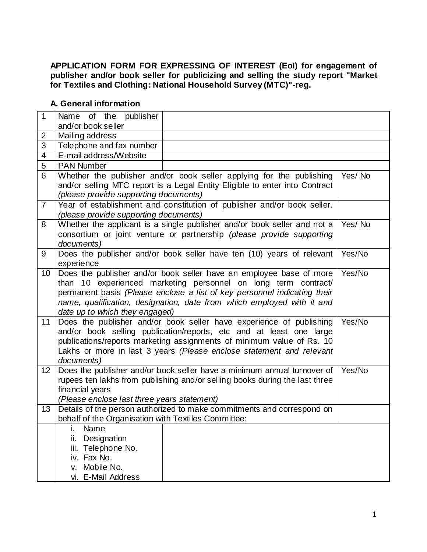## **APPLICATION FORM FOR EXPRESSING OF INTEREST (EoI) for engagement of publisher and/or book seller for publicizing and selling the study report "Market for Textiles and Clothing: National Household Survey (MTC)"-reg.**

## **A. General information**

| $\overline{1}$      | Name of the publisher                                                              |        |  |  |  |  |  |
|---------------------|------------------------------------------------------------------------------------|--------|--|--|--|--|--|
|                     | and/or book seller                                                                 |        |  |  |  |  |  |
| 2<br>$\overline{3}$ | Mailing address                                                                    |        |  |  |  |  |  |
|                     | Telephone and fax number                                                           |        |  |  |  |  |  |
| $\overline{4}$      | E-mail address/Website                                                             |        |  |  |  |  |  |
| 5                   | <b>PAN Number</b>                                                                  |        |  |  |  |  |  |
| 6                   | Whether the publisher and/or book seller applying for the publishing               | Yes/No |  |  |  |  |  |
|                     | and/or selling MTC report is a Legal Entity Eligible to enter into Contract        |        |  |  |  |  |  |
|                     | (please provide supporting documents)                                              |        |  |  |  |  |  |
| $\overline{7}$      | Year of establishment and constitution of publisher and/or book seller.            |        |  |  |  |  |  |
|                     | (please provide supporting documents)                                              |        |  |  |  |  |  |
| 8                   | Whether the applicant is a single publisher and/or book seller and not a<br>Yes/No |        |  |  |  |  |  |
|                     | consortium or joint venture or partnership (please provide supporting              |        |  |  |  |  |  |
|                     | documents)                                                                         |        |  |  |  |  |  |
| 9                   | Does the publisher and/or book seller have ten (10) years of relevant              | Yes/No |  |  |  |  |  |
|                     | experience                                                                         |        |  |  |  |  |  |
| 10                  | Does the publisher and/or book seller have an employee base of more<br>Yes/No      |        |  |  |  |  |  |
|                     | than 10 experienced marketing personnel on long term contract/                     |        |  |  |  |  |  |
|                     | permanent basis (Please enclose a list of key personnel indicating their           |        |  |  |  |  |  |
|                     | name, qualification, designation, date from which employed with it and             |        |  |  |  |  |  |
|                     | date up to which they engaged)                                                     |        |  |  |  |  |  |
| 11                  | Does the publisher and/or book seller have experience of publishing                | Yes/No |  |  |  |  |  |
|                     | and/or book selling publication/reports, etc and at least one large                |        |  |  |  |  |  |
|                     | publications/reports marketing assignments of minimum value of Rs. 10              |        |  |  |  |  |  |
|                     | Lakhs or more in last 3 years (Please enclose statement and relevant               |        |  |  |  |  |  |
|                     | documents)                                                                         |        |  |  |  |  |  |
| 12                  | Does the publisher and/or book seller have a minimum annual turnover of<br>Yes/No  |        |  |  |  |  |  |
|                     | rupees ten lakhs from publishing and/or selling books during the last three        |        |  |  |  |  |  |
|                     | financial years                                                                    |        |  |  |  |  |  |
|                     | (Please enclose last three years statement)                                        |        |  |  |  |  |  |
| 13                  | Details of the person authorized to make commitments and correspond on             |        |  |  |  |  |  |
|                     | behalf of the Organisation with Textiles Committee:                                |        |  |  |  |  |  |
|                     | Name                                                                               |        |  |  |  |  |  |
|                     | ii.<br>Designation                                                                 |        |  |  |  |  |  |
|                     | Telephone No.<br>iii.                                                              |        |  |  |  |  |  |
|                     | iv. Fax No.                                                                        |        |  |  |  |  |  |
|                     | Mobile No.<br>V.                                                                   |        |  |  |  |  |  |
|                     | vi. E-Mail Address                                                                 |        |  |  |  |  |  |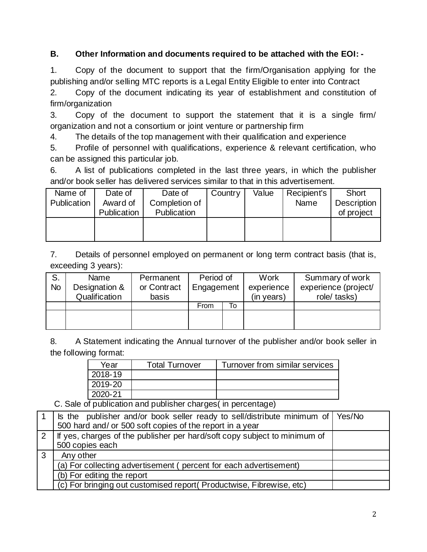## **B. Other Information and documents required to be attached with the EOI: -**

1. Copy of the document to support that the firm/Organisation applying for the publishing and/or selling MTC reports is a Legal Entity Eligible to enter into Contract

2. Copy of the document indicating its year of establishment and constitution of firm/organization

3. Copy of the document to support the statement that it is a single firm/ organization and not a consortium or joint venture or partnership firm

4. The details of the top management with their qualification and experience

5. Profile of personnel with qualifications, experience & relevant certification, who can be assigned this particular job.

6. A list of publications completed in the last three years, in which the publisher and/or book seller has delivered services similar to that in this advertisement.

| Name of     | Date of     | Date of       | Country | Value | Recipient's | <b>Short</b>       |
|-------------|-------------|---------------|---------|-------|-------------|--------------------|
| Publication | Award of    | Completion of |         |       | Name        | <b>Description</b> |
|             | Publication | Publication   |         |       |             | of project         |
|             |             |               |         |       |             |                    |
|             |             |               |         |       |             |                    |
|             |             |               |         |       |             |                    |

7. Details of personnel employed on permanent or long term contract basis (that is, exceeding 3 years):

| S.<br>No | Name<br>Designation &<br>Qualification | Permanent<br>or Contract<br>basis | Period of<br>Engagement |    | Work<br>experience<br>(in years) | Summary of work<br>experience (project/<br>role/ tasks) |
|----------|----------------------------------------|-----------------------------------|-------------------------|----|----------------------------------|---------------------------------------------------------|
|          |                                        |                                   | From                    | To |                                  |                                                         |
|          |                                        |                                   |                         |    |                                  |                                                         |

8. A Statement indicating the Annual turnover of the publisher and/or book seller in the following format:

| Year    | <b>Total Turnover</b> | Turnover from similar services |
|---------|-----------------------|--------------------------------|
| 2018-19 |                       |                                |
| 2019-20 |                       |                                |
| 2020-21 |                       |                                |

C. Sale of publication and publisher charges( in percentage)

|            | Is the publisher and/or book seller ready to sell/distribute minimum of Yes/No<br>500 hard and/ or 500 soft copies of the report in a year |  |
|------------|--------------------------------------------------------------------------------------------------------------------------------------------|--|
| 2          | If yes, charges of the publisher per hard/soft copy subject to minimum of                                                                  |  |
|            | 500 copies each                                                                                                                            |  |
| $\sqrt{3}$ | Any other                                                                                                                                  |  |
|            | (a) For collecting advertisement (percent for each advertisement)                                                                          |  |
|            | (b) For editing the report                                                                                                                 |  |
|            | (c) For bringing out customised report (Productwise, Fibrewise, etc)                                                                       |  |